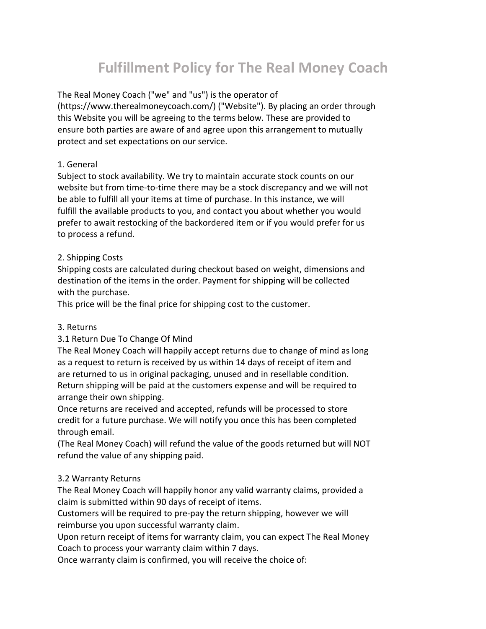# **Fulfillment Policy for The Real Money Coach**

The Real Money Coach ("we" and "us") is the operator of

(https://www.therealmoneycoach.com/) ("Website"). By placing an order through this Website you will be agreeing to the terms below. These are provided to ensure both parties are aware of and agree upon this arrangement to mutually protect and set expectations on our service.

# 1. General

Subject to stock availability. We try to maintain accurate stock counts on our website but from time-to-time there may be a stock discrepancy and we will not be able to fulfill all your items at time of purchase. In this instance, we will fulfill the available products to you, and contact you about whether you would prefer to await restocking of the backordered item or if you would prefer for us to process a refund.

# 2. Shipping Costs

Shipping costs are calculated during checkout based on weight, dimensions and destination of the items in the order. Payment for shipping will be collected with the purchase.

This price will be the final price for shipping cost to the customer.

# 3. Returns

# 3.1 Return Due To Change Of Mind

The Real Money Coach will happily accept returns due to change of mind as long as a request to return is received by us within 14 days of receipt of item and are returned to us in original packaging, unused and in resellable condition. Return shipping will be paid at the customers expense and will be required to arrange their own shipping.

Once returns are received and accepted, refunds will be processed to store credit for a future purchase. We will notify you once this has been completed through email.

(The Real Money Coach) will refund the value of the goods returned but will NOT refund the value of any shipping paid.

# 3.2 Warranty Returns

The Real Money Coach will happily honor any valid warranty claims, provided a claim is submitted within 90 days of receipt of items.

Customers will be required to pre-pay the return shipping, however we will reimburse you upon successful warranty claim.

Upon return receipt of items for warranty claim, you can expect The Real Money Coach to process your warranty claim within 7 days.

Once warranty claim is confirmed, you will receive the choice of: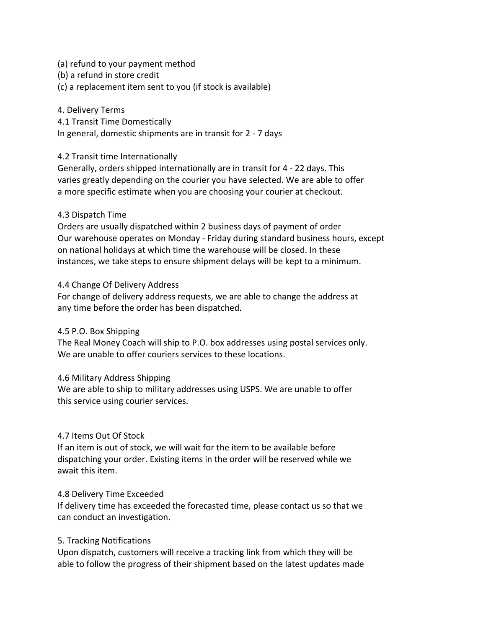- (a) refund to your payment method
- (b) a refund in store credit
- (c) a replacement item sent to you (if stock is available)

#### 4. Delivery Terms

4.1 Transit Time Domestically

In general, domestic shipments are in transit for 2 - 7 days

#### 4.2 Transit time Internationally

Generally, orders shipped internationally are in transit for 4 - 22 days. This varies greatly depending on the courier you have selected. We are able to offer a more specific estimate when you are choosing your courier at checkout.

#### 4.3 Dispatch Time

Orders are usually dispatched within 2 business days of payment of order Our warehouse operates on Monday - Friday during standard business hours, except on national holidays at which time the warehouse will be closed. In these instances, we take steps to ensure shipment delays will be kept to a minimum.

#### 4.4 Change Of Delivery Address

For change of delivery address requests, we are able to change the address at any time before the order has been dispatched.

#### 4.5 P.O. Box Shipping

The Real Money Coach will ship to P.O. box addresses using postal services only. We are unable to offer couriers services to these locations.

#### 4.6 Military Address Shipping

We are able to ship to military addresses using USPS. We are unable to offer this service using courier services.

#### 4.7 Items Out Of Stock

If an item is out of stock, we will wait for the item to be available before dispatching your order. Existing items in the order will be reserved while we await this item.

#### 4.8 Delivery Time Exceeded

If delivery time has exceeded the forecasted time, please contact us so that we can conduct an investigation.

#### 5. Tracking Notifications

Upon dispatch, customers will receive a tracking link from which they will be able to follow the progress of their shipment based on the latest updates made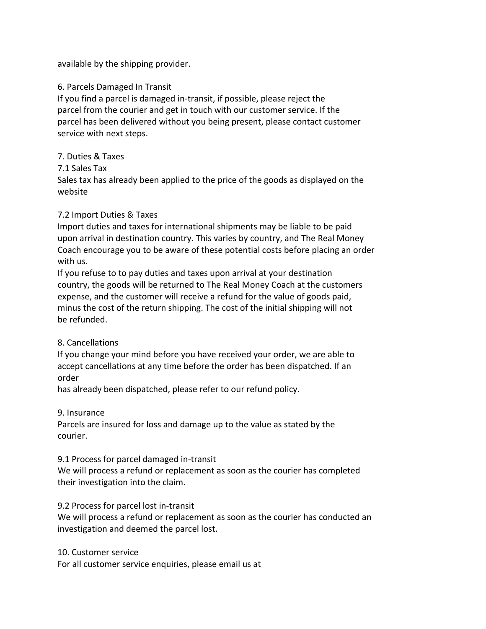available by the shipping provider.

### 6. Parcels Damaged In Transit

If you find a parcel is damaged in-transit, if possible, please reject the parcel from the courier and get in touch with our customer service. If the parcel has been delivered without you being present, please contact customer service with next steps.

#### 7. Duties & Taxes

#### 7.1 Sales Tax

Sales tax has already been applied to the price of the goods as displayed on the website

#### 7.2 Import Duties & Taxes

Import duties and taxes for international shipments may be liable to be paid upon arrival in destination country. This varies by country, and The Real Money Coach encourage you to be aware of these potential costs before placing an order with us.

If you refuse to to pay duties and taxes upon arrival at your destination country, the goods will be returned to The Real Money Coach at the customers expense, and the customer will receive a refund for the value of goods paid, minus the cost of the return shipping. The cost of the initial shipping will not be refunded.

# 8. Cancellations

If you change your mind before you have received your order, we are able to accept cancellations at any time before the order has been dispatched. If an order

has already been dispatched, please refer to our refund policy.

9. Insurance

Parcels are insured for loss and damage up to the value as stated by the courier.

#### 9.1 Process for parcel damaged in-transit

We will process a refund or replacement as soon as the courier has completed their investigation into the claim.

#### 9.2 Process for parcel lost in-transit

We will process a refund or replacement as soon as the courier has conducted an investigation and deemed the parcel lost.

#### 10. Customer service

For all customer service enquiries, please email us at